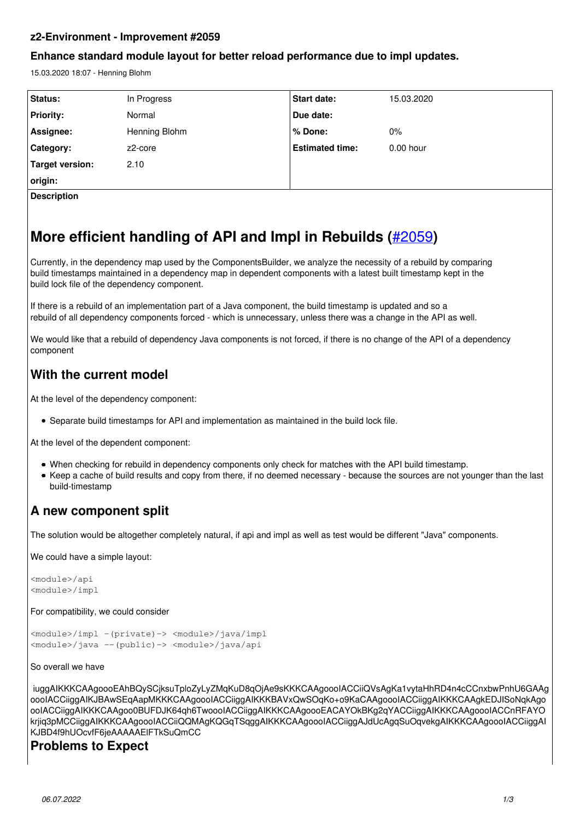### **z2-Environment - Improvement #2059**

### **Enhance standard module layout for better reload performance due to impl updates.**

15.03.2020 18:07 - Henning Blohm

| <b>Status:</b>     | In Progress   | Start date:            | 15.03.2020  |
|--------------------|---------------|------------------------|-------------|
| <b>Priority:</b>   | Normal        | Due date:              |             |
| Assignee:          | Henning Blohm | ∣% Done:               | $0\%$       |
| Category:          | z2-core       | <b>Estimated time:</b> | $0.00$ hour |
| Target version:    | 2.10          |                        |             |
| origin:            |               |                        |             |
| <b>Description</b> |               |                        |             |

# **More efficient handling of API and Impl in Rebuilds (**[#2059](redmine.z2-environment.net/issues/2059)**)**

Currently, in the dependency map used by the ComponentsBuilder, we analyze the necessity of a rebuild by comparing build timestamps maintained in a dependency map in dependent components with a latest built timestamp kept in the build lock file of the dependency component.

If there is a rebuild of an implementation part of a Java component, the build timestamp is updated and so a rebuild of all dependency components forced - which is unnecessary, unless there was a change in the API as well.

We would like that a rebuild of dependency Java components is not forced, if there is no change of the API of a dependency component

## **With the current model**

At the level of the dependency component:

Separate build timestamps for API and implementation as maintained in the build lock file.

At the level of the dependent component:

- When checking for rebuild in dependency components only check for matches with the API build timestamp.
- Keep a cache of build results and copy from there, if no deemed necessary because the sources are not younger than the last build-timestamp

## **A new component split**

The solution would be altogether completely natural, if api and impl as well as test would be different "Java" components.

We could have a simple layout:

```
<module>/api
<module>/impl
```
For compatibility, we could consider

<module>/impl -(private)-> <module>/java/impl <module>/java --(public)-> <module>/java/api

#### So overall we have

iuggAIKKKCAAgoooEAhBQySCjksuTploZyLyZMqKuD8qOjAe9sKKKCAAgoooIACCiiQVsAgKa1vytaHhRD4n4cCCnxbwPnhU6GAAg oooIACCiiggAIKJBAwSEqAapMKKKCAAgoooIACCiiggAIKKKBAVxQwSOqKo+o9KaCAAgoooIACCiiggAIKKKCAAgkEDJISoNqkAgo ooIACCiiggAIKKKCAAgoo0BUFDJK64qh6TwoooIACCiiggAIKKKCAAgoooEACAYOkBKg2qYACCiiggAIKKKCAAgoooIACCnRFAYO krjiq3pMCCiiggAIKKKCAAgoooIACCiiQQMAgKQGqTSqggAIKKKCAAgoooIACCiiggAJdUcAgqSuOqvekgAIKKKCAAgoooIACCiiggAI KJBD4f9hUOcvfF6jeAAAAAElFTkSuQmCC

## **Problems to Expect**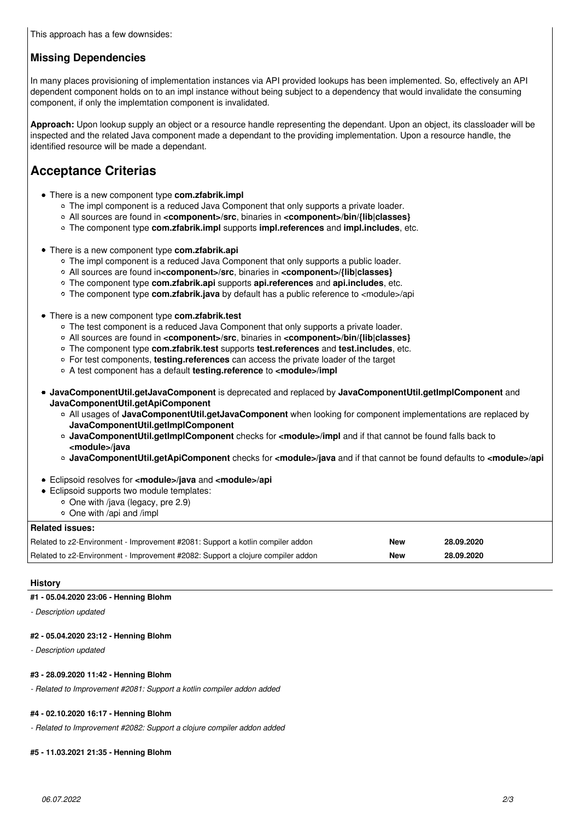### **Missing Dependencies**

In many places provisioning of implementation instances via API provided lookups has been implemented. So, effectively an API dependent component holds on to an impl instance without being subject to a dependency that would invalidate the consuming component, if only the implemtation component is invalidated.

**Approach:** Upon lookup supply an object or a resource handle representing the dependant. Upon an object, its classloader will be inspected and the related Java component made a dependant to the providing implementation. Upon a resource handle, the identified resource will be made a dependant.

## **Acceptance Criterias**

- There is a new component type **com.zfabrik.impl**
	- o The impl component is a reduced Java Component that only supports a private loader.
	- All sources are found in **<component>/src**, binaries in **<component>/bin/{lib|classes}**
	- The component type **com.zfabrik.impl** supports **impl.references** and **impl.includes**, etc.
- There is a new component type **com.zfabrik.api**
	- o The impl component is a reduced Java Component that only supports a public loader.
	- All sources are found in**<component>/src**, binaries in **<component>/{lib|classes}**
	- The component type **com.zfabrik.api** supports **api.references** and **api.includes**, etc.
	- The component type **com.zfabrik.java** by default has a public reference to <module>/api
- There is a new component type **com.zfabrik.test**
	- $\circ$  The test component is a reduced Java Component that only supports a private loader.
	- All sources are found in **<component>/src**, binaries in **<component>/bin/{lib|classes}**
	- The component type **com.zfabrik.test** supports **test.references** and **test.includes**, etc.
	- For test components, **testing.references** can access the private loader of the target
	- A test component has a default **testing.reference** to **<module>/impl**
- **JavaComponentUtil.getJavaComponent** is deprecated and replaced by **JavaComponentUtil.getImplComponent** and **JavaComponentUtil.getApiComponent**
	- All usages of **JavaComponentUtil.getJavaComponent** when looking for component implementations are replaced by **JavaComponentUtil.getImplComponent**
	- **JavaComponentUtil.getImplComponent** checks for **<module>/impl** and if that cannot be found falls back to **<module>/java**
	- **JavaComponentUtil.getApiComponent** checks for **<module>/java** and if that cannot be found defaults to **<module>/api**
- Eclipsoid resolves for **<module>/java** and **<module>/api**
- Eclipsoid supports two module templates:
	- $\circ$  One with /java (legacy, pre 2.9)
	- $\circ$  One with /api and /impl

| Related issues:                                                                 |            |            |
|---------------------------------------------------------------------------------|------------|------------|
| Related to z2-Environment - Improvement #2081: Support a kotlin compiler addon  | New        | 28.09.2020 |
| Related to z2-Environment - Improvement #2082: Support a clojure compiler addon | <b>New</b> | 28.09.2020 |

#### **History**

### **#1 - 05.04.2020 23:06 - Henning Blohm**

*- Description updated*

### **#2 - 05.04.2020 23:12 - Henning Blohm**

*- Description updated*

### **#3 - 28.09.2020 11:42 - Henning Blohm**

*- Related to Improvement #2081: Support a kotlin compiler addon added*

### **#4 - 02.10.2020 16:17 - Henning Blohm**

*- Related to Improvement #2082: Support a clojure compiler addon added*

### **#5 - 11.03.2021 21:35 - Henning Blohm**